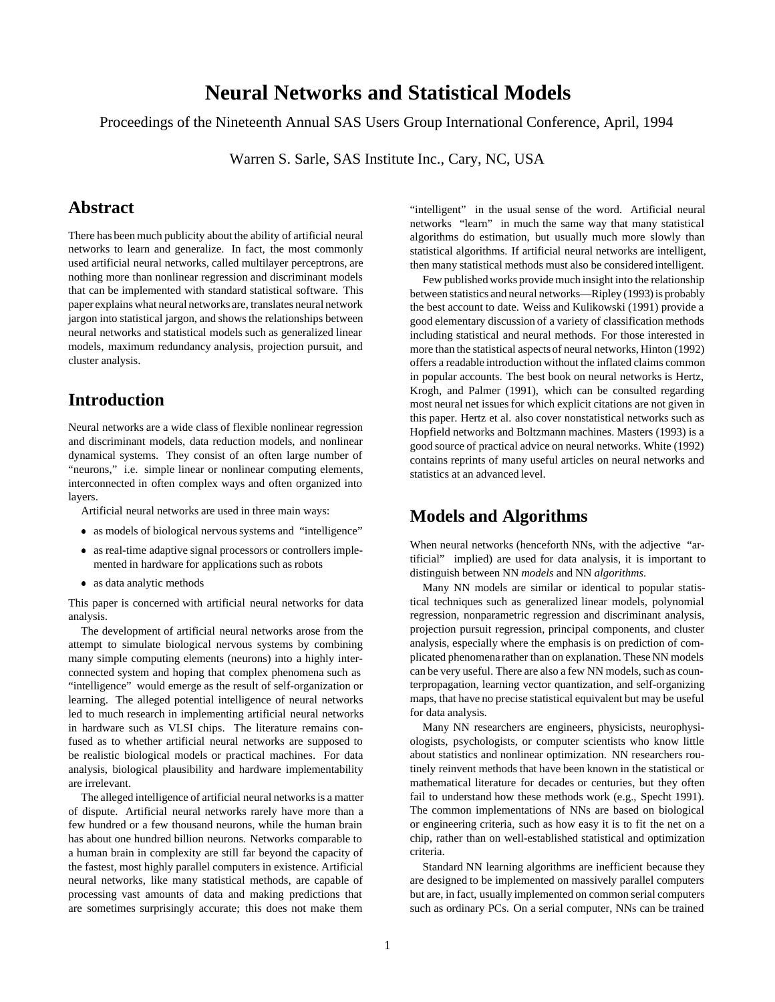# **Neural Networks and Statistical Models**

Proceedings of the Nineteenth Annual SAS Users Group International Conference, April, 1994

Warren S. Sarle, SAS Institute Inc., Cary, NC, USA

## **Abstract**

There has been much publicity about the ability of artificial neural networks to learn and generalize. In fact, the most commonly used artificial neural networks, called multilayer perceptrons, are nothing more than nonlinear regression and discriminant models that can be implemented with standard statistical software. This paper explains what neural networks are, translates neural network jargon into statistical jargon, and shows the relationships between neural networks and statistical models such as generalized linear models, maximum redundancy analysis, projection pursuit, and cluster analysis.

## **Introduction**

Neural networks are a wide class of flexible nonlinear regression and discriminant models, data reduction models, and nonlinear dynamical systems. They consist of an often large number of "neurons," i.e. simple linear or nonlinear computing elements, interconnected in often complex ways and often organized into layers.

Artificial neural networks are used in three main ways:

- as models of biological nervous systems and "intelligence"
- as real-time adaptive signal processors or controllers implemented in hardware for applications such as robots
- as data analytic methods

This paper is concerned with artificial neural networks for data analysis.

The development of artificial neural networks arose from the attempt to simulate biological nervous systems by combining many simple computing elements (neurons) into a highly interconnected system and hoping that complex phenomena such as "intelligence" would emerge as the result of self-organization or learning. The alleged potential intelligence of neural networks led to much research in implementing artificial neural networks in hardware such as VLSI chips. The literature remains confused as to whether artificial neural networks are supposed to be realistic biological models or practical machines. For data analysis, biological plausibility and hardware implementability are irrelevant.

The alleged intelligence of artificial neural networks is a matter of dispute. Artificial neural networks rarely have more than a few hundred or a few thousand neurons, while the human brain has about one hundred billion neurons. Networks comparable to a human brain in complexity are still far beyond the capacity of the fastest, most highly parallel computers in existence. Artificial neural networks, like many statistical methods, are capable of processing vast amounts of data and making predictions that are sometimes surprisingly accurate; this does not make them "intelligent" in the usual sense of the word. Artificial neural networks "learn" in much the same way that many statistical algorithms do estimation, but usually much more slowly than statistical algorithms. If artificial neural networks are intelligent, then many statistical methods must also be considered intelligent.

Few published works provide much insight into the relationship between statistics and neural networks—Ripley (1993) is probably the best account to date. Weiss and Kulikowski (1991) provide a good elementary discussion of a variety of classification methods including statistical and neural methods. For those interested in more than the statistical aspects of neural networks, Hinton (1992) offers a readable introduction without the inflated claims common in popular accounts. The best book on neural networks is Hertz, Krogh, and Palmer (1991), which can be consulted regarding most neural net issues for which explicit citations are not given in this paper. Hertz et al. also cover nonstatistical networks such as Hopfield networks and Boltzmann machines. Masters (1993) is a good source of practical advice on neural networks. White (1992) contains reprints of many useful articles on neural networks and statistics at an advanced level.

## **Models and Algorithms**

When neural networks (henceforth NNs, with the adjective "artificial" implied) are used for data analysis, it is important to distinguish between NN *models* and NN *algorithms*.

Many NN models are similar or identical to popular statistical techniques such as generalized linear models, polynomial regression, nonparametric regression and discriminant analysis, projection pursuit regression, principal components, and cluster analysis, especially where the emphasis is on prediction of complicated phenomenarather than on explanation. These NN models can be very useful. There are also a few NN models, such as counterpropagation, learning vector quantization, and self-organizing maps, that have no precise statistical equivalent but may be useful for data analysis.

Many NN researchers are engineers, physicists, neurophysiologists, psychologists, or computer scientists who know little about statistics and nonlinear optimization. NN researchers routinely reinvent methods that have been known in the statistical or mathematical literature for decades or centuries, but they often fail to understand how these methods work (e.g., Specht 1991). The common implementations of NNs are based on biological or engineering criteria, such as how easy it is to fit the net on a chip, rather than on well-established statistical and optimization criteria.

Standard NN learning algorithms are inefficient because they are designed to be implemented on massively parallel computers but are, in fact, usually implemented on common serial computers such as ordinary PCs. On a serial computer, NNs can be trained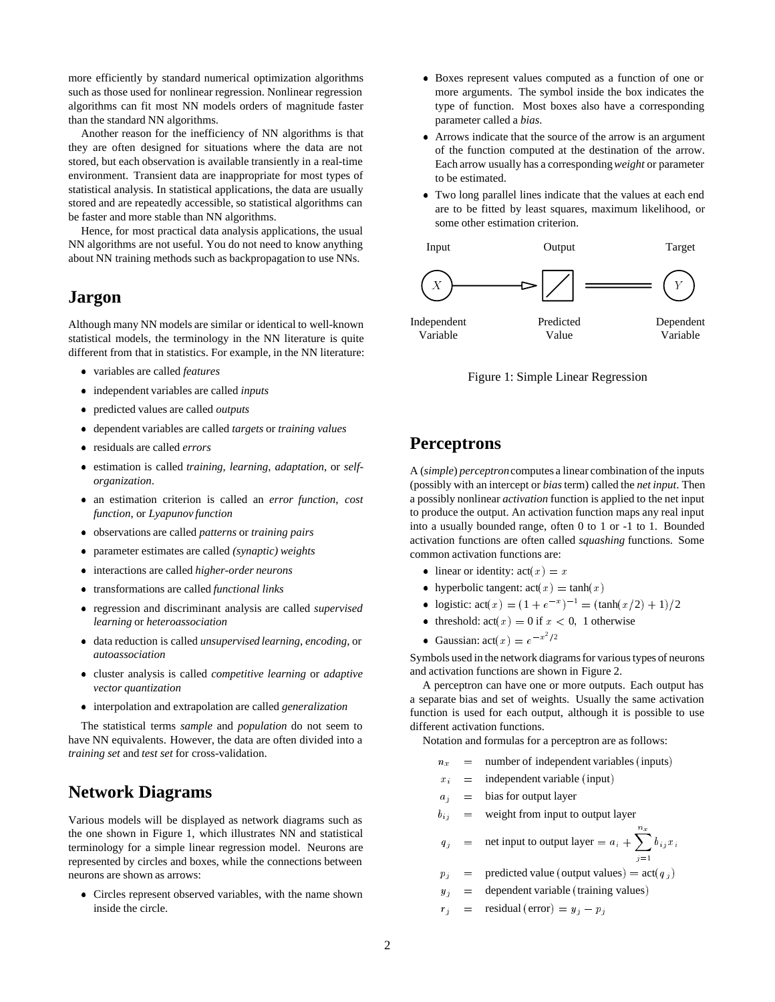more efficiently by standard numerical optimization algorithms such as those used for nonlinear regression. Nonlinear regression algorithms can fit most NN models orders of magnitude faster than the standard NN algorithms.

Another reason for the inefficiency of NN algorithms is that they are often designed for situations where the data are not stored, but each observation is available transiently in a real-time environment. Transient data are inappropriate for most types of statistical analysis. In statistical applications, the data are usually stored and are repeatedly accessible, so statistical algorithms can be faster and more stable than NN algorithms.

Hence, for most practical data analysis applications, the usual NN algorithms are not useful. You do not need to know anything about NN training methods such as backpropagation to use NNs.

#### **Jargon**

Although many NN models are similar or identical to well-known statistical models, the terminology in the NN literature is quite different from that in statistics. For example, in the NN literature:

- variables are called *features*
- independent variables are called *inputs*
- predicted values are called *outputs*
- dependent variables are called *targets* or *training values*
- residuals are called *errors*
- estimation is called *training*, *learning*, *adaptation*, or *selforganization*.
- an estimation criterion is called an *error function*, *cost function*, or *Lyapunov function*
- observations are called *patterns* or *training pairs*
- parameter estimates are called *(synaptic) weights*
- interactions are called *higher-order neurons*
- transformations are called *functional links*
- regression and discriminant analysis are called *supervised learning* or *heteroassociation*
- data reduction is called *unsupervised learning*, *encoding*, or *autoassociation*
- cluster analysis is called *competitive learning* or *adaptive vector quantization*
- interpolation and extrapolation are called *generalization*

The statistical terms *sample* and *population* do not seem to have NN equivalents. However, the data are often divided into a *training set* and *test set* for cross-validation.

## **Network Diagrams**

Various models will be displayed as network diagrams such as the one shown in Figure 1, which illustrates NN and statistical terminology for a simple linear regression model. Neurons are represented by circles and boxes, while the connections between neurons are shown as arrows:

 Circles represent observed variables, with the name shown inside the circle.

- Boxes represent values computed as a function of one or more arguments. The symbol inside the box indicates the type of function. Most boxes also have a corresponding parameter called a *bias*.
- Arrows indicate that the source of the arrow is an argument of the function computed at the destination of the arrow. Each arrow usually has a corresponding*weight* or parameter to be estimated.
- Two long parallel lines indicate that the values at each end are to be fitted by least squares, maximum likelihood, or some other estimation criterion.



Figure 1: Simple Linear Regression

## **Perceptrons**

A (*simple*) *perceptron*computes a linear combination of the inputs (possibly with an intercept or *bias*term) called the *net input*. Then a possibly nonlinear *activation* function is applied to the net input to produce the output. An activation function maps any real input into a usually bounded range, often 0 to 1 or -1 to 1. Bounded activation functions are often called *squashing* functions. Some common activation functions are:

- linear or identity:  $act(x) = x$
- hyperbolic tangent:  $act(x) = tanh(x)$
- logistic:  $act(x) = (1 + e^{-x})^{-1} = (tanh(x/2) + 1)/2$
- threshold:  $act(x) = 0$  if  $x < 0$ , 1 otherwise
- Gaussian:  $act(x) = e^{-x^2/2}$

Symbols used in the network diagrams for various types of neurons and activation functions are shown in Figure 2.

A perceptron can have one or more outputs. Each output has a separate bias and set of weights. Usually the same activation function is used for each output, although it is possible to use different activation functions.

Notation and formulas for a perceptron are as follows:

- $n_x$  = number of independent variables (inputs)
- $x_i$  = independent variable (input)
- $a_i$  = bias for output layer
- $b_{ij}$  = weight from input to output layer

$$
q_j
$$
 = net input to output layer =  $a_i + \sum_{j=1}^{n_x} b_{ij} x_i$ 

- $p_j$  = predicted value (output values) = act(q j)
- $y_j$  = dependent variable (training values)
- $r_j$  = residual (error) =  $y_j$   $p_j$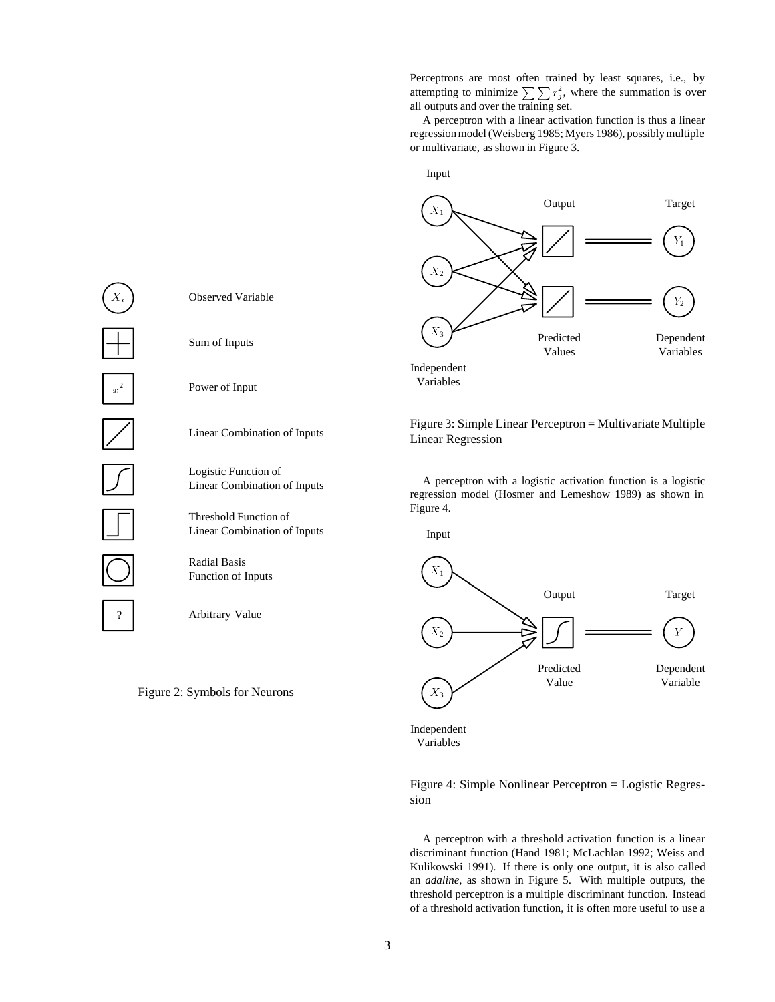Perceptrons are most often trained by least squares, i.e., by attempting to minimize  $\sum \sum r_j^2$ , where the summation is over all outputs and over the training set.

A perceptron with a linear activation function is thus a linear regression model (Weisberg 1985; Myers 1986), possibly multiple or multivariate, as shown in Figure 3.



Variables

Figure 3: Simple Linear Perceptron = Multivariate Multiple Linear Regression

A perceptron with a logistic activation function is a logistic regression model (Hosmer and Lemeshow 1989) as shown in Figure 4.

Input



Independent Variables

Figure 4: Simple Nonlinear Perceptron = Logistic Regression

A perceptron with a threshold activation function is a linear discriminant function (Hand 1981; McLachlan 1992; Weiss and Kulikowski 1991). If there is only one output, it is also called an *adaline*, as shown in Figure 5. With multiple outputs, the threshold perceptron is a multiple discriminant function. Instead of a threshold activation function, it is often more useful to use a



Arbitrary Value

Radial Basis Function of Inputs

Observed Variable

Sum of Inputs

Power of Input

Linear Combination of Inputs

Linear Combination of Inputs

Logistic Function of

Threshold Function of Linear Combination of Inputs

Figure 2: Symbols for Neurons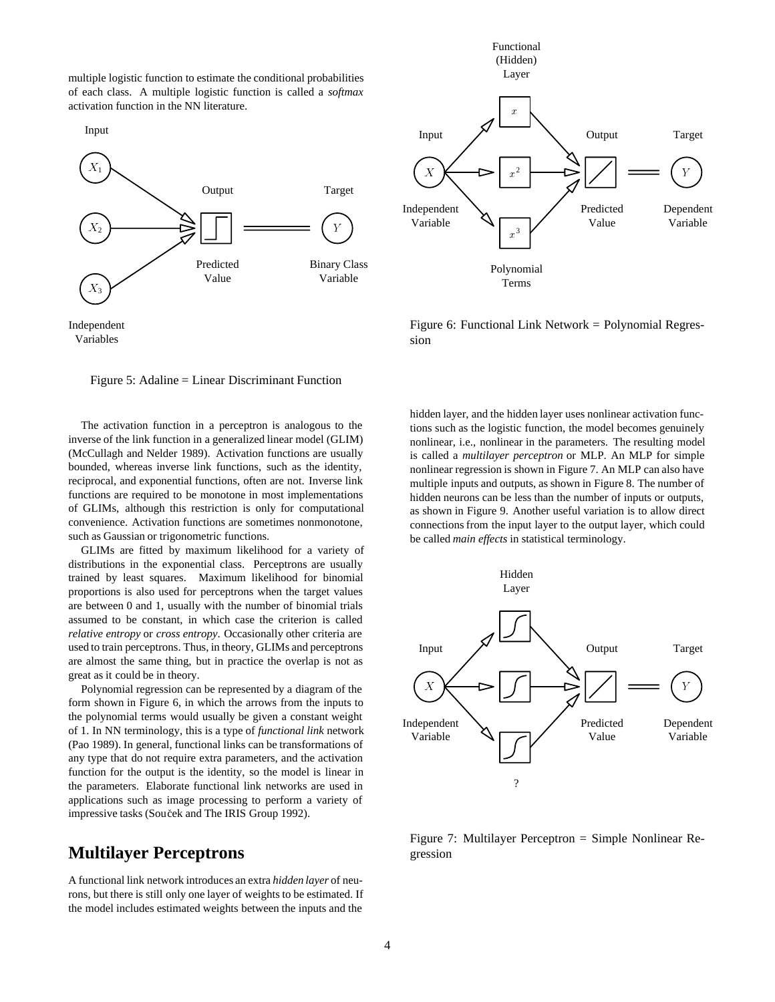multiple logistic function to estimate the conditional probabilities of each class. A multiple logistic function is called a *softmax* activation function in the NN literature.







Figure 5: Adaline = Linear Discriminant Function

The activation function in a perceptron is analogous to the inverse of the link function in a generalized linear model (GLIM) (McCullagh and Nelder 1989). Activation functions are usually bounded, whereas inverse link functions, such as the identity, reciprocal, and exponential functions, often are not. Inverse link functions are required to be monotone in most implementations of GLIMs, although this restriction is only for computational convenience. Activation functions are sometimes nonmonotone, such as Gaussian or trigonometric functions.

GLIMs are fitted by maximum likelihood for a variety of distributions in the exponential class. Perceptrons are usually trained by least squares. Maximum likelihood for binomial proportions is also used for perceptrons when the target values are between 0 and 1, usually with the number of binomial trials assumed to be constant, in which case the criterion is called *relative entropy* or *cross entropy*. Occasionally other criteria are used to train perceptrons. Thus, in theory, GLIMs and perceptrons are almost the same thing, but in practice the overlap is not as great as it could be in theory.

Polynomial regression can be represented by a diagram of the form shown in Figure 6, in which the arrows from the inputs to the polynomial terms would usually be given a constant weight of 1. In NN terminology, this is a type of *functional link* network (Pao 1989). In general, functional links can be transformations of any type that do not require extra parameters, and the activation function for the output is the identity, so the model is linear in the parameters. Elaborate functional link networks are used in applications such as image processing to perform a variety of impressive tasks (Souček and The IRIS Group 1992).

#### **Multilayer Perceptrons**

A functional link network introduces an extra *hidden layer* of neurons, but there is still only one layer of weights to be estimated. If the model includes estimated weights between the inputs and the



Figure 6: Functional Link Network = Polynomial Regression

hidden layer, and the hidden layer uses nonlinear activation functions such as the logistic function, the model becomes genuinely nonlinear, i.e., nonlinear in the parameters. The resulting model is called a *multilayer perceptron* or MLP. An MLP for simple nonlinear regression is shown in Figure 7. An MLP can also have multiple inputs and outputs, as shown in Figure 8. The number of hidden neurons can be less than the number of inputs or outputs, as shown in Figure 9. Another useful variation is to allow direct connections from the input layer to the output layer, which could be called *main effects* in statistical terminology.



Figure 7: Multilayer Perceptron = Simple Nonlinear Regression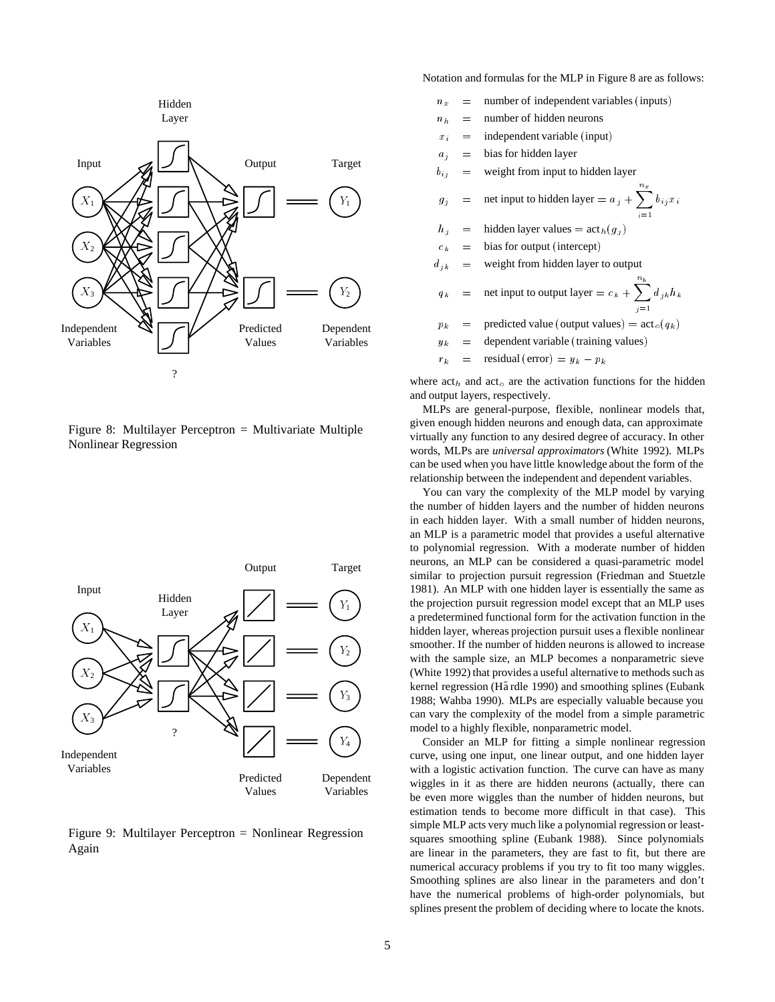

Figure 8: Multilayer Perceptron = Multivariate Multiple Nonlinear Regression



Figure 9: Multilayer Perceptron = Nonlinear Regression Again

Notation and formulas for the MLP in Figure 8 are as follows:

- $n_x$  = number of independent variables (inputs)
- $n_h$  = number of hidden neurons
- $x_i$  = independent variable (input)
- $a_j$  = bias for hidden layer
- $b_{ij}$  = weight from input to hidden layer
- $g_j$  = net input to hidden layer =  $a_j + \sum_{i=1}^{n_x} b_{ij}x_i$  $i=1$
- $h_j$  = hidden layer values = act<sub>h</sub>( $g_j$ )
- $c_k$  = bias for output (intercept)
- $d_{ik}$  = weight from hidden layer to output
- $q_k$  = net input to output layer =  $c_k + \sum_{i=1}^{n_h} d_i$  $j=1$  $a_{jk}n_k$
- $p_k$  = predicted value (output values) = act<sub>o</sub>( $q_k$ )
- $y_k$  = dependent variable (training values)
- $r_k$  = residual (error) =  $y_k p_k$

where  $\arctan$  and  $\arctan$  are the activation functions for the hidden and output layers, respectively.

MLPs are general-purpose, flexible, nonlinear models that, given enough hidden neurons and enough data, can approximate virtually any function to any desired degree of accuracy. In other words, MLPs are *universal approximators* (White 1992). MLPs can be used when you have little knowledge about the form of the relationship between the independent and dependent variables.

You can vary the complexity of the MLP model by varying the number of hidden layers and the number of hidden neurons in each hidden layer. With a small number of hidden neurons, an MLP is a parametric model that provides a useful alternative to polynomial regression. With a moderate number of hidden neurons, an MLP can be considered a quasi-parametric model similar to projection pursuit regression (Friedman and Stuetzle 1981). An MLP with one hidden layer is essentially the same as the projection pursuit regression model except that an MLP uses a predetermined functional form for the activation function in the hidden layer, whereas projection pursuit uses a flexible nonlinear smoother. If the number of hidden neurons is allowed to increase with the sample size, an MLP becomes a nonparametric sieve (White 1992) that provides a useful alternative to methods such as kernel regression (Härdle 1990) and smoothing splines (Eubank 1988; Wahba 1990). MLPs are especially valuable because you can vary the complexity of the model from a simple parametric model to a highly flexible, nonparametric model.

Consider an MLP for fitting a simple nonlinear regression curve, using one input, one linear output, and one hidden layer with a logistic activation function. The curve can have as many wiggles in it as there are hidden neurons (actually, there can be even more wiggles than the number of hidden neurons, but estimation tends to become more difficult in that case). This simple MLP acts very much like a polynomial regression or leastsquares smoothing spline (Eubank 1988). Since polynomials are linear in the parameters, they are fast to fit, but there are numerical accuracy problems if you try to fit too many wiggles. Smoothing splines are also linear in the parameters and don't have the numerical problems of high-order polynomials, but splines present the problem of deciding where to locate the knots.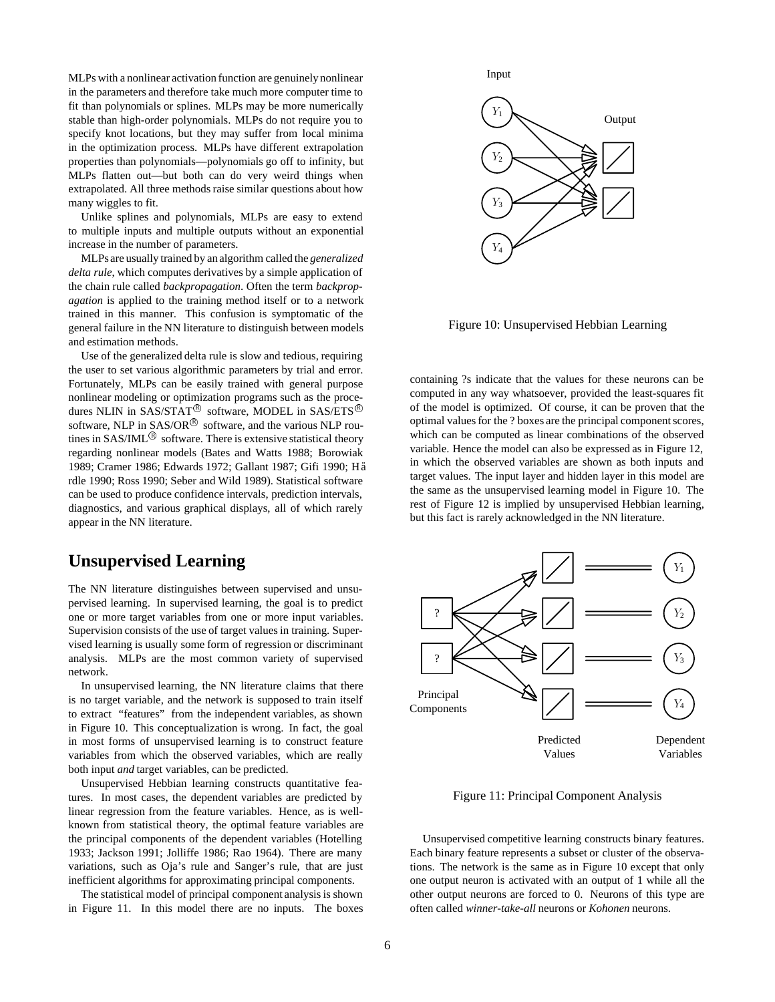MLPs with a nonlinear activation function are genuinely nonlinear in the parameters and therefore take much more computer time to fit than polynomials or splines. MLPs may be more numerically stable than high-order polynomials. MLPs do not require you to specify knot locations, but they may suffer from local minima in the optimization process. MLPs have different extrapolation properties than polynomials—polynomials go off to infinity, but MLPs flatten out—but both can do very weird things when extrapolated. All three methods raise similar questions about how many wiggles to fit.

Unlike splines and polynomials, MLPs are easy to extend to multiple inputs and multiple outputs without an exponential increase in the number of parameters.

MLPs are usually trained by an algorithm called the *generalized delta rule*, which computes derivatives by a simple application of the chain rule called *backpropagation*. Often the term *backpropagation* is applied to the training method itself or to a network trained in this manner. This confusion is symptomatic of the general failure in the NN literature to distinguish between models and estimation methods.

Use of the generalized delta rule is slow and tedious, requiring the user to set various algorithmic parameters by trial and error. Fortunately, MLPs can be easily trained with general purpose nonlinear modeling or optimization programs such as the procedures NLIN in SAS/STAT<sup>®</sup> software, MODEL in SAS/ETS<sup>®</sup> software, NLP in  $SAS/OR^{\circledR}$  software, and the various NLP routines in  $SAS/IML^{\circledR}$  software. There is extensive statistical theory regarding nonlinear models (Bates and Watts 1988; Borowiak 1989; Cramer 1986; Edwards 1972; Gallant 1987; Gifi 1990; H a rdle 1990; Ross 1990; Seber and Wild 1989). Statistical software can be used to produce confidence intervals, prediction intervals, diagnostics, and various graphical displays, all of which rarely appear in the NN literature.

#### **Unsupervised Learning**

The NN literature distinguishes between supervised and unsupervised learning. In supervised learning, the goal is to predict one or more target variables from one or more input variables. Supervision consists of the use of target values in training. Supervised learning is usually some form of regression or discriminant analysis. MLPs are the most common variety of supervised network.

In unsupervised learning, the NN literature claims that there is no target variable, and the network is supposed to train itself to extract "features" from the independent variables, as shown in Figure 10. This conceptualization is wrong. In fact, the goal in most forms of unsupervised learning is to construct feature variables from which the observed variables, which are really both input *and* target variables, can be predicted.

Unsupervised Hebbian learning constructs quantitative features. In most cases, the dependent variables are predicted by linear regression from the feature variables. Hence, as is wellknown from statistical theory, the optimal feature variables are the principal components of the dependent variables (Hotelling 1933; Jackson 1991; Jolliffe 1986; Rao 1964). There are many variations, such as Oja's rule and Sanger's rule, that are just inefficient algorithms for approximating principal components.

The statistical model of principal component analysis is shown in Figure 11. In this model there are no inputs. The boxes



Figure 10: Unsupervised Hebbian Learning

containing ?s indicate that the values for these neurons can be computed in any way whatsoever, provided the least-squares fit of the model is optimized. Of course, it can be proven that the optimal values for the ? boxes are the principal component scores, which can be computed as linear combinations of the observed variable. Hence the model can also be expressed as in Figure 12, in which the observed variables are shown as both inputs and target values. The input layer and hidden layer in this model are the same as the unsupervised learning model in Figure 10. The rest of Figure 12 is implied by unsupervised Hebbian learning, but this fact is rarely acknowledged in the NN literature.



Figure 11: Principal Component Analysis

Unsupervised competitive learning constructs binary features. Each binary feature represents a subset or cluster of the observations. The network is the same as in Figure 10 except that only one output neuron is activated with an output of 1 while all the other output neurons are forced to 0. Neurons of this type are often called *winner-take-all* neurons or *Kohonen* neurons.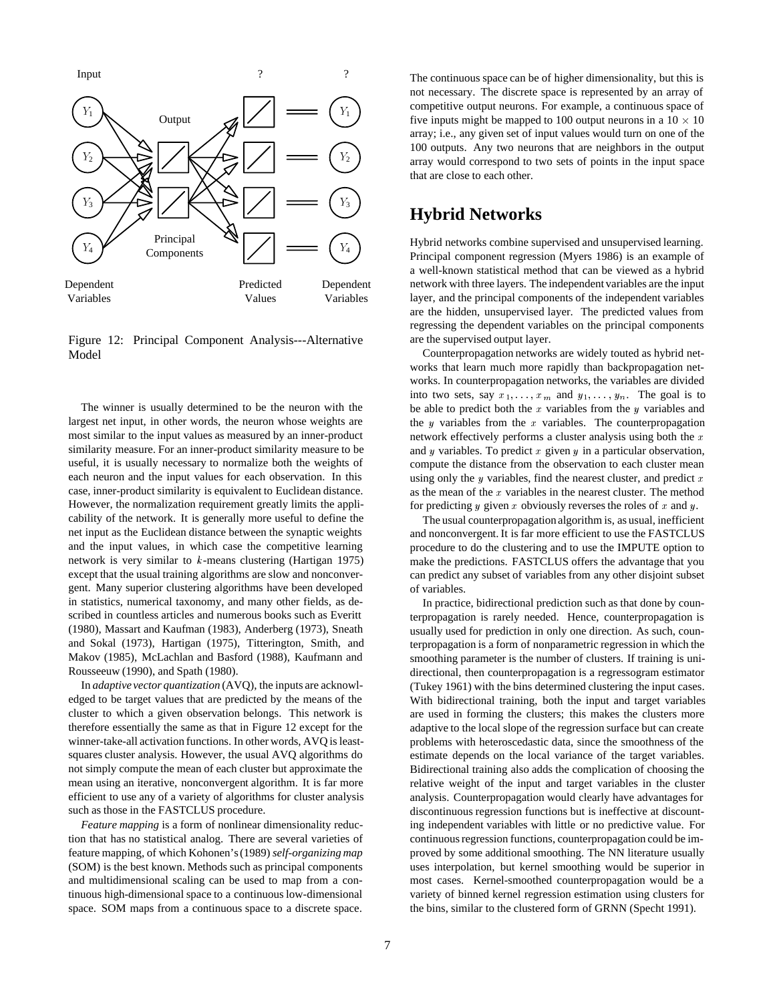

Figure 12: Principal Component Analysis---Alternative Model

The winner is usually determined to be the neuron with the largest net input, in other words, the neuron whose weights are most similar to the input values as measured by an inner-product similarity measure. For an inner-product similarity measure to be useful, it is usually necessary to normalize both the weights of each neuron and the input values for each observation. In this case, inner-product similarity is equivalent to Euclidean distance. However, the normalization requirement greatly limits the applicability of the network. It is generally more useful to define the net input as the Euclidean distance between the synaptic weights and the input values, in which case the competitive learning network is very similar to  $k$ -means clustering (Hartigan 1975) except that the usual training algorithms are slow and nonconvergent. Many superior clustering algorithms have been developed in statistics, numerical taxonomy, and many other fields, as described in countless articles and numerous books such as Everitt (1980), Massart and Kaufman (1983), Anderberg (1973), Sneath and Sokal (1973), Hartigan (1975), Titterington, Smith, and Makov (1985), McLachlan and Basford (1988), Kaufmann and Rousseeuw (1990), and Spath (1980).

In *adaptive vector quantization* (AVQ), the inputs are acknowledged to be target values that are predicted by the means of the cluster to which a given observation belongs. This network is therefore essentially the same as that in Figure 12 except for the winner-take-all activation functions. In other words, AVQ is leastsquares cluster analysis. However, the usual AVQ algorithms do not simply compute the mean of each cluster but approximate the mean using an iterative, nonconvergent algorithm. It is far more efficient to use any of a variety of algorithms for cluster analysis such as those in the FASTCLUS procedure.

*Feature mapping* is a form of nonlinear dimensionality reduction that has no statistical analog. There are several varieties of feature mapping, of which Kohonen's (1989) *self-organizing map* (SOM) is the best known. Methods such as principal components and multidimensional scaling can be used to map from a continuous high-dimensional space to a continuous low-dimensional space. SOM maps from a continuous space to a discrete space.

The continuous space can be of higher dimensionality, but this is not necessary. The discrete space is represented by an array of competitive output neurons. For example, a continuous space of five inputs might be mapped to 100 output neurons in a  $10 \times 10$ array; i.e., any given set of input values would turn on one of the 100 outputs. Any two neurons that are neighbors in the output array would correspond to two sets of points in the input space that are close to each other.

## **Hybrid Networks**

Hybrid networks combine supervised and unsupervised learning. Principal component regression (Myers 1986) is an example of a well-known statistical method that can be viewed as a hybrid network with three layers. The independent variables are the input layer, and the principal components of the independent variables are the hidden, unsupervised layer. The predicted values from regressing the dependent variables on the principal components are the supervised output layer.

Counterpropagation networks are widely touted as hybrid networks that learn much more rapidly than backpropagation networks. In counterpropagation networks, the variables are divided into two sets, say  $x_1, \ldots, x_m$  and  $y_1, \ldots, y_n$ . The goal is to be able to predict both the  $x$  variables from the  $y$  variables and the  $y$  variables from the  $x$  variables. The counterpropagation network effectively performs a cluster analysis using both the  $x$ and y variables. To predict x given y in a particular observation, compute the distance from the observation to each cluster mean using only the y variables, find the nearest cluster, and predict  $x$ as the mean of the  $x$  variables in the nearest cluster. The method for predicting  $y$  given  $x$  obviously reverses the roles of  $x$  and  $y$ .

The usual counterpropagation algorithm is, as usual, inefficient and nonconvergent. It is far more efficient to use the FASTCLUS procedure to do the clustering and to use the IMPUTE option to make the predictions. FASTCLUS offers the advantage that you can predict any subset of variables from any other disjoint subset of variables.

In practice, bidirectional prediction such as that done by counterpropagation is rarely needed. Hence, counterpropagation is usually used for prediction in only one direction. As such, counterpropagation is a form of nonparametric regression in which the smoothing parameter is the number of clusters. If training is unidirectional, then counterpropagation is a regressogram estimator (Tukey 1961) with the bins determined clustering the input cases. With bidirectional training, both the input and target variables are used in forming the clusters; this makes the clusters more adaptive to the local slope of the regression surface but can create problems with heteroscedastic data, since the smoothness of the estimate depends on the local variance of the target variables. Bidirectional training also adds the complication of choosing the relative weight of the input and target variables in the cluster analysis. Counterpropagation would clearly have advantages for discontinuous regression functions but is ineffective at discounting independent variables with little or no predictive value. For continuous regression functions, counterpropagation could be improved by some additional smoothing. The NN literature usually uses interpolation, but kernel smoothing would be superior in most cases. Kernel-smoothed counterpropagation would be a variety of binned kernel regression estimation using clusters for the bins, similar to the clustered form of GRNN (Specht 1991).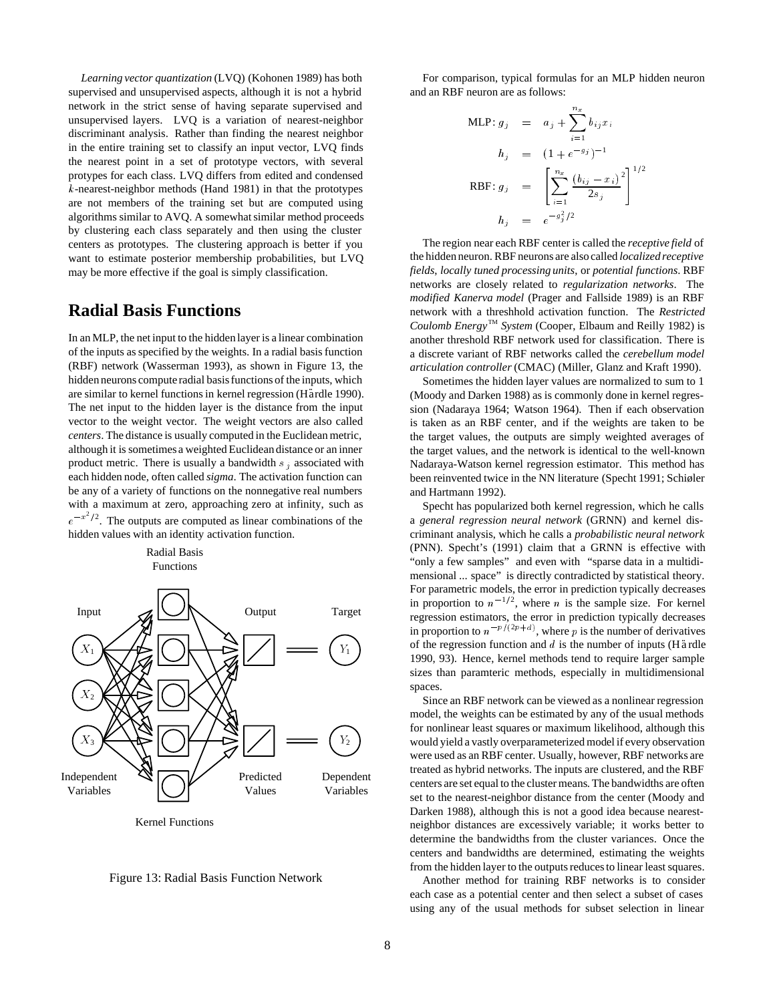*Learning vector quantization* (LVQ) (Kohonen 1989) has both supervised and unsupervised aspects, although it is not a hybrid network in the strict sense of having separate supervised and unsupervised layers. LVQ is a variation of nearest-neighbor discriminant analysis. Rather than finding the nearest neighbor in the entire training set to classify an input vector, LVQ finds the nearest point in a set of prototype vectors, with several protypes for each class. LVQ differs from edited and condensed k-nearest-neighbor methods (Hand 1981) in that the prototypes are not members of the training set but are computed using algorithms similar to AVQ. A somewhat similar method proceeds by clustering each class separately and then using the cluster centers as prototypes. The clustering approach is better if you want to estimate posterior membership probabilities, but LVQ may be more effective if the goal is simply classification.

## **Radial Basis Functions**

In an MLP, the net input to the hidden layer is a linear combination of the inputs as specified by the weights. In a radial basis function (RBF) network (Wasserman 1993), as shown in Figure 13, the hidden neurons compute radial basis functions of the inputs, which are similar to kernel functions in kernel regression (Hardle 1990). The net input to the hidden layer is the distance from the input vector to the weight vector. The weight vectors are also called *centers*. The distance is usually computed in the Euclidean metric, although it is sometimes a weighted Euclidean distance or an inner product metric. There is usually a bandwidth  $s_i$  associated with each hidden node, often called *sigma*. The activation function can be any of a variety of functions on the nonnegative real numbers with a maximum at zero, approaching zero at infinity, such as  $e^{-x^2/2}$ . The outputs are computed as linear combinations of the hidden values with an identity activation function.



Kernel Functions

Radial Basis



For comparison, typical formulas for an MLP hidden neuron and an RBF neuron are as follows:

MLP: 
$$
g_j = a_j + \sum_{i=1}^{n_x} b_{ij} x_i
$$
  
\n
$$
h_j = (1 + e^{-g_j})^{-1}
$$
\nRBF:  $g_j = \left[ \sum_{i=1}^{n_x} \frac{(b_{ij} - x_i)^2}{2s_j} \right]^{1/2}$   
\n
$$
h_j = e^{-g_j^2/2}
$$

The region near each RBF center is called the *receptive field* of the hidden neuron. RBF neurons are also called *localized receptive fields*, *locally tuned processing units*, or *potential functions*. RBF networks are closely related to *regularization networks*. The *modified Kanerva model* (Prager and Fallside 1989) is an RBF network with a threshhold activation function. The *Restricted* Coulomb Energy<sup>™</sup> System (Cooper, Elbaum and Reilly 1982) is another threshold RBF network used for classification. There is a discrete variant of RBF networks called the *cerebellum model articulation controller* (CMAC) (Miller, Glanz and Kraft 1990).

Sometimes the hidden layer values are normalized to sum to 1 (Moody and Darken 1988) as is commonly done in kernel regression (Nadaraya 1964; Watson 1964). Then if each observation is taken as an RBF center, and if the weights are taken to be the target values, the outputs are simply weighted averages of the target values, and the network is identical to the well-known Nadaraya-Watson kernel regression estimator. This method has been reinvented twice in the NN literature (Specht 1991; Schiøler and Hartmann 1992).

Specht has popularized both kernel regression, which he calls a *general regression neural network* (GRNN) and kernel discriminant analysis, which he calls a *probabilistic neural network* (PNN). Specht's (1991) claim that a GRNN is effective with "only a few samples" and even with "sparse data in a multidimensional ... space" is directly contradicted by statistical theory. For parametric models, the error in prediction typically decreases in proportion to  $n^{-1/2}$ , where *n* is the sample size. For kernel regression estimators, the error in prediction typically decreases in proportion to  $n^{-p/(2p+d)}$ , where p is the number of derivatives of the regression function and  $d$  is the number of inputs (H  $\ddot{a}$  rdle 1990, 93). Hence, kernel methods tend to require larger sample sizes than paramteric methods, especially in multidimensional spaces.

Since an RBF network can be viewed as a nonlinear regression model, the weights can be estimated by any of the usual methods for nonlinear least squares or maximum likelihood, although this would yield a vastly overparameterized model if every observation were used as an RBF center. Usually, however, RBF networks are treated as hybrid networks. The inputs are clustered, and the RBF centers are set equal to the cluster means. The bandwidths are often set to the nearest-neighbor distance from the center (Moody and Darken 1988), although this is not a good idea because nearestneighbor distances are excessively variable; it works better to determine the bandwidths from the cluster variances. Once the centers and bandwidths are determined, estimating the weights from the hidden layer to the outputs reduces to linear least squares.

Another method for training RBF networks is to consider each case as a potential center and then select a subset of cases using any of the usual methods for subset selection in linear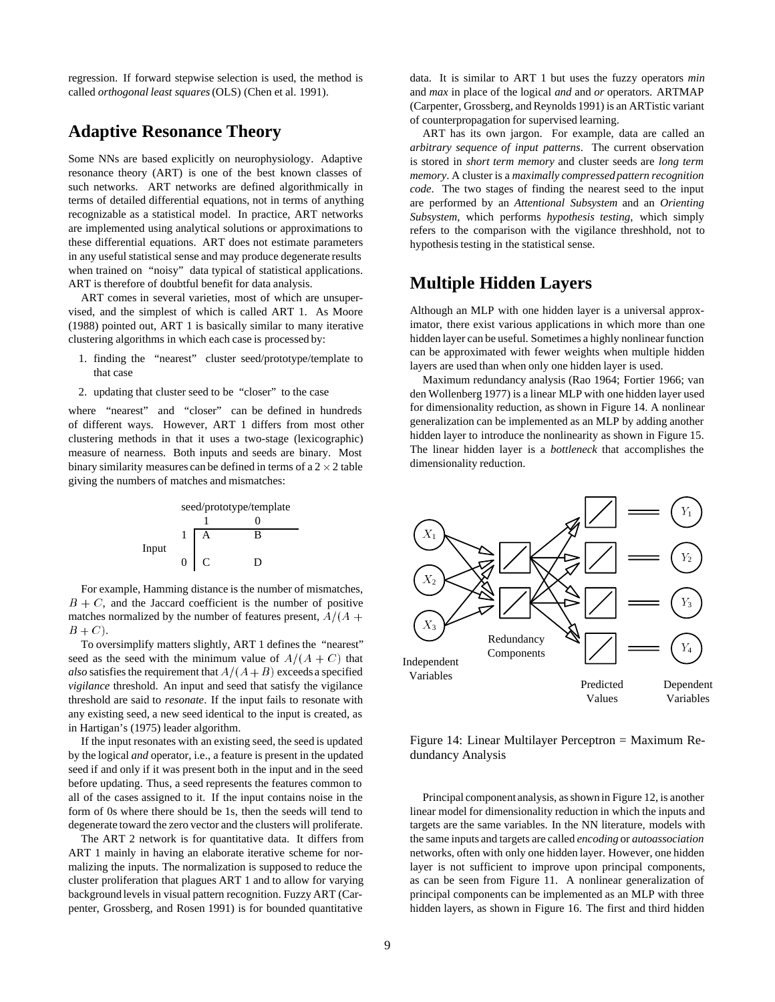regression. If forward stepwise selection is used, the method is called *orthogonal least squares*(OLS) (Chen et al. 1991).

### **Adaptive Resonance Theory**

Some NNs are based explicitly on neurophysiology. Adaptive resonance theory (ART) is one of the best known classes of such networks. ART networks are defined algorithmically in terms of detailed differential equations, not in terms of anything recognizable as a statistical model. In practice, ART networks are implemented using analytical solutions or approximations to these differential equations. ART does not estimate parameters in any useful statistical sense and may produce degenerate results when trained on "noisy" data typical of statistical applications. ART is therefore of doubtful benefit for data analysis.

ART comes in several varieties, most of which are unsupervised, and the simplest of which is called ART 1. As Moore (1988) pointed out, ART 1 is basically similar to many iterative clustering algorithms in which each case is processed by:

- 1. finding the "nearest" cluster seed/prototype/template to that case
- 2. updating that cluster seed to be "closer" to the case

where "nearest" and "closer" can be defined in hundreds of different ways. However, ART 1 differs from most other clustering methods in that it uses a two-stage (lexicographic) measure of nearness. Both inputs and seeds are binary. Most binary similarity measures can be defined in terms of a 2  $\times$  2 table giving the numbers of matches and mismatches:



For example, Hamming distance is the number of mismatches,  $B + C$ , and the Jaccard coefficient is the number of positive matches normalized by the number of features present,  $A/(A +$  $B + C$ ).

To oversimplify matters slightly, ART 1 defines the "nearest" seed as the seed with the minimum value of  $A/(A + C)$  that *also* satisfies the requirement that  $A/(A+B)$  exceeds a specified *vigilance* threshold. An input and seed that satisfy the vigilance threshold are said to *resonate*. If the input fails to resonate with any existing seed, a new seed identical to the input is created, as in Hartigan's (1975) leader algorithm.

If the input resonates with an existing seed, the seed is updated by the logical *and* operator, i.e., a feature is present in the updated seed if and only if it was present both in the input and in the seed before updating. Thus, a seed represents the features common to all of the cases assigned to it. If the input contains noise in the form of 0s where there should be 1s, then the seeds will tend to degenerate toward the zero vector and the clusters will proliferate.

The ART 2 network is for quantitative data. It differs from ART 1 mainly in having an elaborate iterative scheme for normalizing the inputs. The normalization is supposed to reduce the cluster proliferation that plagues ART 1 and to allow for varying background levels in visual pattern recognition. Fuzzy ART (Carpenter, Grossberg, and Rosen 1991) is for bounded quantitative

data. It is similar to ART 1 but uses the fuzzy operators *min* and *max* in place of the logical *and* and *or* operators. ARTMAP (Carpenter, Grossberg, and Reynolds 1991) is an ARTistic variant of counterpropagation for supervised learning.

ART has its own jargon. For example, data are called an *arbitrary sequence of input patterns*. The current observation is stored in *short term memory* and cluster seeds are *long term memory*. A cluster is a *maximally compressed pattern recognition code*. The two stages of finding the nearest seed to the input are performed by an *Attentional Subsystem* and an *Orienting Subsystem*, which performs *hypothesis testing*, which simply refers to the comparison with the vigilance threshhold, not to hypothesis testing in the statistical sense.

### **Multiple Hidden Layers**

Although an MLP with one hidden layer is a universal approximator, there exist various applications in which more than one hidden layer can be useful. Sometimes a highly nonlinear function can be approximated with fewer weights when multiple hidden layers are used than when only one hidden layer is used.

Maximum redundancy analysis (Rao 1964; Fortier 1966; van den Wollenberg 1977) is a linear MLP with one hidden layer used for dimensionality reduction, as shown in Figure 14. A nonlinear generalization can be implemented as an MLP by adding another hidden layer to introduce the nonlinearity as shown in Figure 15. The linear hidden layer is a *bottleneck* that accomplishes the dimensionality reduction.



Figure 14: Linear Multilayer Perceptron = Maximum Redundancy Analysis

Principal component analysis, as shown in Figure 12, is another linear model for dimensionality reduction in which the inputs and targets are the same variables. In the NN literature, models with the same inputs and targets are called *encoding* or *autoassociation* networks, often with only one hidden layer. However, one hidden layer is not sufficient to improve upon principal components, as can be seen from Figure 11. A nonlinear generalization of principal components can be implemented as an MLP with three hidden layers, as shown in Figure 16. The first and third hidden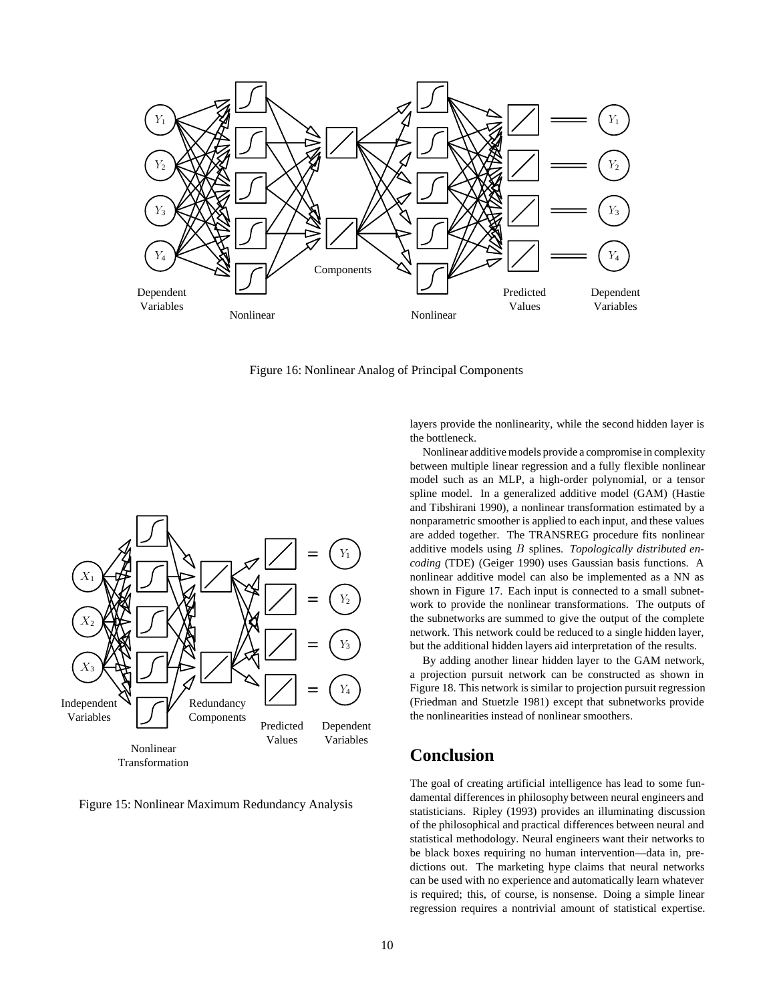

Figure 16: Nonlinear Analog of Principal Components



Figure 15: Nonlinear Maximum Redundancy Analysis

layers provide the nonlinearity, while the second hidden layer is the bottleneck.

Nonlinear additive models provide a compromise in complexity between multiple linear regression and a fully flexible nonlinear model such as an MLP, a high-order polynomial, or a tensor spline model. In a generalized additive model (GAM) (Hastie and Tibshirani 1990), a nonlinear transformation estimated by a nonparametric smoother is applied to each input, and these values are added together. The TRANSREG procedure fits nonlinear additive models using <sup>B</sup> splines. *Topologically distributed encoding* (TDE) (Geiger 1990) uses Gaussian basis functions. A nonlinear additive model can also be implemented as a NN as shown in Figure 17. Each input is connected to a small subnetwork to provide the nonlinear transformations. The outputs of the subnetworks are summed to give the output of the complete network. This network could be reduced to a single hidden layer, but the additional hidden layers aid interpretation of the results.

By adding another linear hidden layer to the GAM network, a projection pursuit network can be constructed as shown in Figure 18. This network is similar to projection pursuit regression (Friedman and Stuetzle 1981) except that subnetworks provide the nonlinearities instead of nonlinear smoothers.

#### **Conclusion**

The goal of creating artificial intelligence has lead to some fundamental differences in philosophy between neural engineers and statisticians. Ripley (1993) provides an illuminating discussion of the philosophical and practical differences between neural and statistical methodology. Neural engineers want their networks to be black boxes requiring no human intervention—data in, predictions out. The marketing hype claims that neural networks can be used with no experience and automatically learn whatever is required; this, of course, is nonsense. Doing a simple linear regression requires a nontrivial amount of statistical expertise.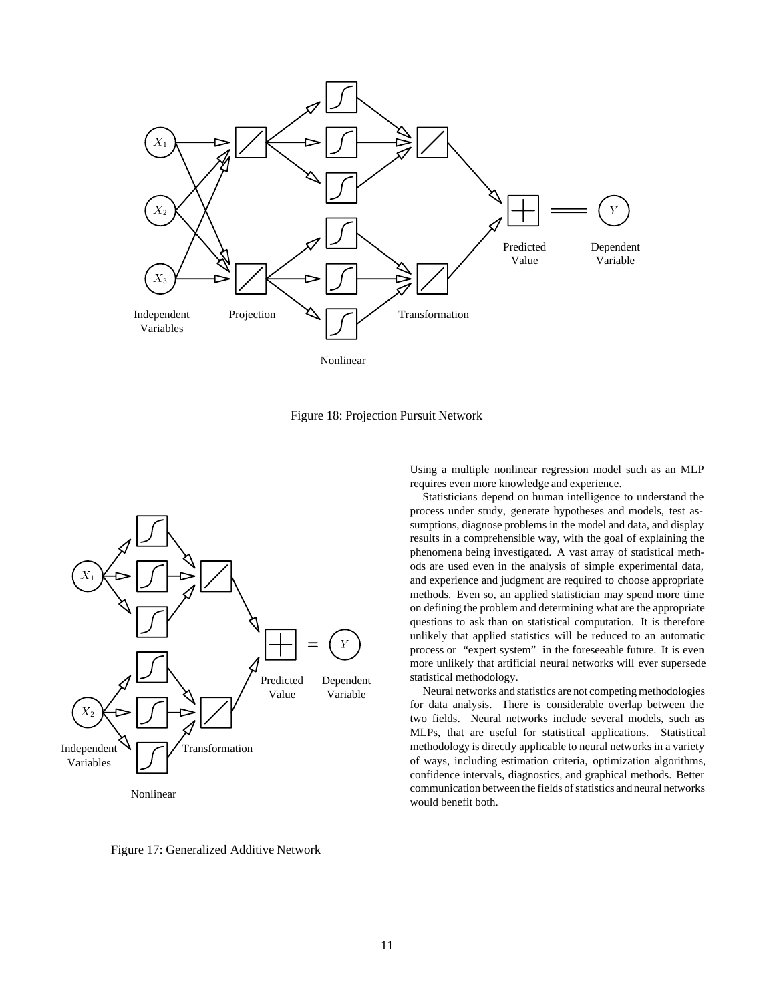

Figure 18: Projection Pursuit Network



Figure 17: Generalized Additive Network

Using a multiple nonlinear regression model such as an MLP requires even more knowledge and experience.

Statisticians depend on human intelligence to understand the process under study, generate hypotheses and models, test assumptions, diagnose problems in the model and data, and display results in a comprehensible way, with the goal of explaining the phenomena being investigated. A vast array of statistical methods are used even in the analysis of simple experimental data, and experience and judgment are required to choose appropriate methods. Even so, an applied statistician may spend more time on defining the problem and determining what are the appropriate questions to ask than on statistical computation. It is therefore unlikely that applied statistics will be reduced to an automatic process or "expert system" in the foreseeable future. It is even more unlikely that artificial neural networks will ever supersede statistical methodology.

Neural networks and statistics are not competing methodologies for data analysis. There is considerable overlap between the two fields. Neural networks include several models, such as MLPs, that are useful for statistical applications. Statistical methodology is directly applicable to neural networks in a variety of ways, including estimation criteria, optimization algorithms, confidence intervals, diagnostics, and graphical methods. Better communication between the fields of statistics and neural networks would benefit both.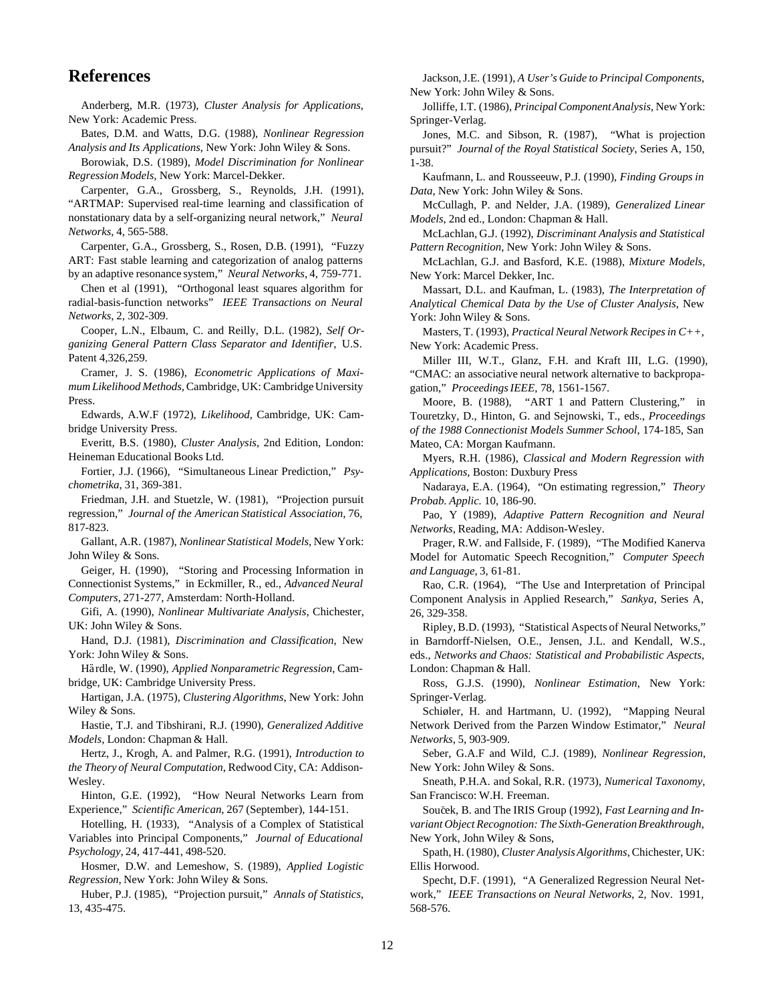#### **References**

Anderberg, M.R. (1973), *Cluster Analysis for Applications*, New York: Academic Press.

Bates, D.M. and Watts, D.G. (1988), *Nonlinear Regression Analysis and Its Applications*, New York: John Wiley & Sons.

Borowiak, D.S. (1989), *Model Discrimination for Nonlinear Regression Models*, New York: Marcel-Dekker.

Carpenter, G.A., Grossberg, S., Reynolds, J.H. (1991), "ARTMAP: Supervised real-time learning and classification of nonstationary data by a self-organizing neural network," *Neural Networks*, 4, 565-588.

Carpenter, G.A., Grossberg, S., Rosen, D.B. (1991), "Fuzzy ART: Fast stable learning and categorization of analog patterns by an adaptive resonance system," *Neural Networks*, 4, 759-771.

Chen et al (1991), "Orthogonal least squares algorithm for radial-basis-function networks" *IEEE Transactions on Neural Networks*, 2, 302-309.

Cooper, L.N., Elbaum, C. and Reilly, D.L. (1982), *Self Organizing General Pattern Class Separator and Identifier*, U.S. Patent 4,326,259.

Cramer, J. S. (1986), *Econometric Applications of Maximum Likelihood Methods*, Cambridge, UK: Cambridge University Press.

Edwards, A.W.F (1972), *Likelihood*, Cambridge, UK: Cambridge University Press.

Everitt, B.S. (1980), *Cluster Analysis*, 2nd Edition, London: Heineman Educational Books Ltd.

Fortier, J.J. (1966), "Simultaneous Linear Prediction," *Psychometrika*, 31, 369-381.

Friedman, J.H. and Stuetzle, W. (1981), "Projection pursuit regression," *Journal of the American Statistical Association*, 76, 817-823.

Gallant, A.R. (1987), *Nonlinear Statistical Models*, New York: John Wiley & Sons.

Geiger, H. (1990), "Storing and Processing Information in Connectionist Systems," in Eckmiller, R., ed., *Advanced Neural Computers*, 271-277, Amsterdam: North-Holland.

Gifi, A. (1990), *Nonlinear Multivariate Analysis*, Chichester, UK: John Wiley & Sons.

Hand, D.J. (1981), *Discrimination and Classification*, New York: John Wiley & Sons.

Hardle, W. (1990), *Applied Nonparametric Regression*, Cambridge, UK: Cambridge University Press.

Hartigan, J.A. (1975), *Clustering Algorithms*, New York: John Wiley & Sons.

Hastie, T.J. and Tibshirani, R.J. (1990), *Generalized Additive Models*, London: Chapman & Hall.

Hertz, J., Krogh, A. and Palmer, R.G. (1991), *Introduction to the Theory of Neural Computation*, Redwood City, CA: Addison-Wesley.

Hinton, G.E. (1992), "How Neural Networks Learn from Experience," *Scientific American*, 267 (September), 144-151.

Hotelling, H. (1933), "Analysis of a Complex of Statistical Variables into Principal Components," *Journal of Educational Psychology*, 24, 417-441, 498-520.

Hosmer, D.W. and Lemeshow, S. (1989), *Applied Logistic Regression*, New York: John Wiley & Sons.

Huber, P.J. (1985), "Projection pursuit," *Annals of Statistics*, 13, 435-475.

Jackson, J.E. (1991), *A User's Guide to Principal Components*, New York: John Wiley & Sons.

Jolliffe, I.T. (1986), *Principal ComponentAnalysis*, New York: Springer-Verlag.

Jones, M.C. and Sibson, R. (1987), "What is projection pursuit?" *Journal of the Royal Statistical Society*, Series A, 150, 1-38.

Kaufmann, L. and Rousseeuw, P.J. (1990), *Finding Groups in Data*, New York: John Wiley & Sons.

McCullagh, P. and Nelder, J.A. (1989), *Generalized Linear Models*, 2nd ed., London: Chapman & Hall.

McLachlan, G.J. (1992), *Discriminant Analysis and Statistical Pattern Recognition*, New York: John Wiley & Sons.

McLachlan, G.J. and Basford, K.E. (1988), *Mixture Models*, New York: Marcel Dekker, Inc.

Massart, D.L. and Kaufman, L. (1983), *The Interpretation of Analytical Chemical Data by the Use of Cluster Analysis*, New York: John Wiley & Sons.

Masters, T. (1993), *Practical Neural Network Recipes in C++*, New York: Academic Press.

Miller III, W.T., Glanz, F.H. and Kraft III, L.G. (1990), "CMAC: an associative neural network alternative to backpropagation," *Proceedings IEEE*, 78, 1561-1567.

Moore, B. (1988), "ART 1 and Pattern Clustering," in Touretzky, D., Hinton, G. and Sejnowski, T., eds., *Proceedings of the 1988 Connectionist Models Summer School*, 174-185, San Mateo, CA: Morgan Kaufmann.

Myers, R.H. (1986), *Classical and Modern Regression with Applications*, Boston: Duxbury Press

Nadaraya, E.A. (1964), "On estimating regression," *Theory Probab. Applic.* 10, 186-90.

Pao, Y (1989), *Adaptive Pattern Recognition and Neural Networks*, Reading, MA: Addison-Wesley.

Prager, R.W. and Fallside, F. (1989), "The Modified Kanerva Model for Automatic Speech Recognition," *Computer Speech and Language*, 3, 61-81.

Rao, C.R. (1964), "The Use and Interpretation of Principal Component Analysis in Applied Research," *Sankya*, Series A, 26, 329-358.

Ripley, B.D. (1993), "Statistical Aspects of Neural Networks," in Barndorff-Nielsen, O.E., Jensen, J.L. and Kendall, W.S., eds., *Networks and Chaos: Statistical and Probabilistic Aspects*, London: Chapman & Hall.

Ross, G.J.S. (1990), *Nonlinear Estimation*, New York: Springer-Verlag.

Schiøler, H. and Hartmann, U. (1992), "Mapping Neural Network Derived from the Parzen Window Estimator," *Neural Networks*, 5, 903-909.

Seber, G.A.F and Wild, C.J. (1989), *Nonlinear Regression*, New York: John Wiley & Sons.

Sneath, P.H.A. and Sokal, R.R. (1973), *Numerical Taxonomy*, San Francisco: W.H. Freeman.

Souček, B. and The IRIS Group (1992), *Fast Learning and Invariant Object Recognotion: The Sixth-Generation Breakthrough*, New York, John Wiley & Sons,

Spath, H. (1980), *Cluster Analysis Algorithms*, Chichester, UK: Ellis Horwood.

Specht, D.F. (1991), "A Generalized Regression Neural Network," *IEEE Transactions on Neural Networks*, 2, Nov. 1991, 568-576.